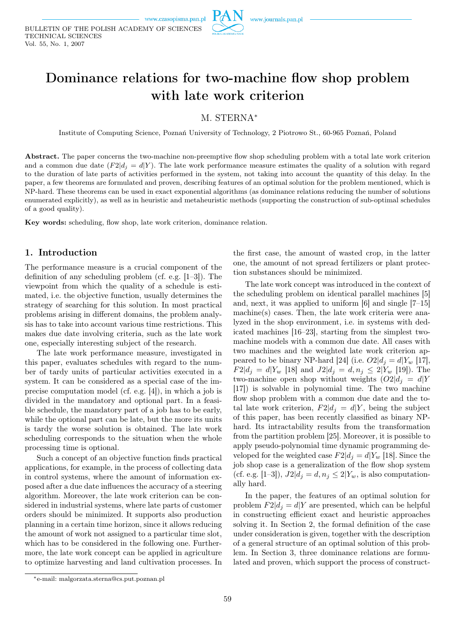



# M. STERNA*<sup>∗</sup>*

Institute of Computing Science, Poznań University of Technology, 2 Piotrowo St., 60-965 Poznań, Poland

Abstract. The paper concerns the two-machine non-preemptive flow shop scheduling problem with a total late work criterion and a common due date  $(F2|d_i = d|Y)$ . The late work performance measure estimates the quality of a solution with regard to the duration of late parts of activities performed in the system, not taking into account the quantity of this delay. In the paper, a few theorems are formulated and proven, describing features of an optimal solution for the problem mentioned, which is NP-hard. These theorems can be used in exact exponential algorithms (as dominance relations reducing the number of solutions enumerated explicitly), as well as in heuristic and metaheuristic methods (supporting the construction of sub-optimal schedules of a good quality).

Key words: scheduling, flow shop, late work criterion, dominance relation.

## 1. Introduction

The performance measure is a crucial component of the definition of any scheduling problem (cf. e.g. [1–3]). The viewpoint from which the quality of a schedule is estimated, i.e. the objective function, usually determines the strategy of searching for this solution. In most practical problems arising in different domains, the problem analysis has to take into account various time restrictions. This makes due date involving criteria, such as the late work one, especially interesting subject of the research.

The late work performance measure, investigated in this paper, evaluates schedules with regard to the number of tardy units of particular activities executed in a system. It can be considered as a special case of the imprecise computation model (cf. e.g. [4]), in which a job is divided in the mandatory and optional part. In a feasible schedule, the mandatory part of a job has to be early, while the optional part can be late, but the more its units is tardy the worse solution is obtained. The late work scheduling corresponds to the situation when the whole processing time is optional.

Such a concept of an objective function finds practical applications, for example, in the process of collecting data in control systems, where the amount of information exposed after a due date influences the accuracy of a steering algorithm. Moreover, the late work criterion can be considered in industrial systems, where late parts of customer orders should be minimized. It supports also production planning in a certain time horizon, since it allows reducing the amount of work not assigned to a particular time slot, which has to be considered in the following one. Furthermore, the late work concept can be applied in agriculture to optimize harvesting and land cultivation processes. In

the first case, the amount of wasted crop, in the latter one, the amount of not spread fertilizers or plant protection substances should be minimized.

The late work concept was introduced in the context of the scheduling problem on identical parallel machines [5] and, next, it was applied to uniform [6] and single [7–15] machine(s) cases. Then, the late work criteria were analyzed in the shop environment, i.e. in systems with dedicated machines [16–23], starting from the simplest twomachine models with a common due date. All cases with two machines and the weighted late work criterion appeared to be binary NP-hard [24] (i.e.  $O2|d_j = d|Y_w$  [17], *F*2 $|d_j = d|Y_w$  [18] and  $J2|d_j = d, n_j \leq 2|Y_w$  [19]). The two-machine open shop without weights  $(O2|d_j = d)Y$ [17]) is solvable in polynomial time. The two machine flow shop problem with a common due date and the total late work criterion,  $F2|d_i = d|Y$ , being the subject of this paper, has been recently classified as binary NPhard. Its intractability results from the transformation from the partition problem [25]. Moreover, it is possible to apply pseudo-polynomial time dynamic programming developed for the weighted case  $F2|d_i = d|Y_w|$  [18]. Since the job shop case is a generalization of the flow shop system (cf. e.g. [1–3]),  $J2|d_j = d, n_j \leq 2|Y_w|$ , is also computationally hard.

In the paper, the features of an optimal solution for problem  $F2|d_i = d$  *Y* are presented, which can be helpful in constructing efficient exact and heuristic approaches solving it. In Section 2, the formal definition of the case under consideration is given, together with the description of a general structure of an optimal solution of this problem. In Section 3, three dominance relations are formulated and proven, which support the process of construct-

*<sup>∗</sup>*e-mail: malgorzata.sterna@cs.put.poznan.pl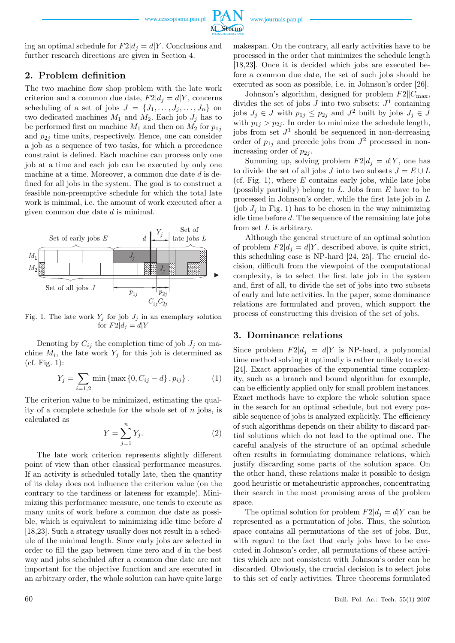www.czasopisma.pan.pl



M. Sterna

ing an optimal schedule for  $F2|d_i = d|Y$ . Conclusions and further research directions are given in Section 4.

# 2. Problem definition

The two machine flow shop problem with the late work criterion and a common due date,  $F2|d_i = d|Y$ , concerns scheduling of a set of jobs  $J = \{J_1, \ldots, J_j, \ldots, J_n\}$  on two dedicated machines  $M_1$  and  $M_2$ . Each job  $J_j$  has to be performed first on machine  $M_1$  and then on  $M_2$  for  $p_{1j}$ and  $p_{2j}$  time units, respectively. Hence, one can consider a job as a sequence of two tasks, for which a precedence constraint is defined. Each machine can process only one job at a time and each job can be executed by only one machine at a time. Moreover, a common due date *d* is defined for all jobs in the system. The goal is to construct a feasible non-preemptive schedule for which the total late work is minimal, i.e. the amount of work executed after a given common due date *d* is minimal.



Fig. 1. The late work  $Y_j$  for job  $J_j$  in an exemplary solution for  $F2|d_i = dY$ 

Denoting by  $C_{ij}$  the completion time of job  $J_j$  on machine  $M_i$ , the late work  $Y_j$  for this job is determined as (cf. Fig. 1):

$$
Y_j = \sum_{i=1,2} \min \{ \max \{ 0, C_{ij} - d \}, p_{ij} \}.
$$
 (1)

The criterion value to be minimized, estimating the quality of a complete schedule for the whole set of *n* jobs, is calculated as

$$
Y = \sum_{j=1}^{n} Y_j.
$$
 (2)

The late work criterion represents slightly different point of view than other classical performance measures. If an activity is scheduled totally late, then the quantity of its delay does not influence the criterion value (on the contrary to the tardiness or lateness for example). Minimizing this performance measure, one tends to execute as many units of work before a common due date as possible, which is equivalent to minimizing idle time before *d* [18,23]. Such a strategy usually does not result in a schedule of the minimal length. Since early jobs are selected in order to fill the gap between time zero and *d* in the best way and jobs scheduled after a common due date are not important for the objective function and are executed in an arbitrary order, the whole solution can have quite large

makespan. On the contrary, all early activities have to be processed in the order that minimizes the schedule length [18,23]. Once it is decided which jobs are executed before a common due date, the set of such jobs should be executed as soon as possible, i.e. in Johnson's order [26].

Johnson's algorithm, designed for problem  $F2||C_{\text{max}}$ , divides the set of jobs  $J$  into two subsets:  $J^1$  containing jobs  $J_j \in J$  with  $p_{1j} \leq p_{2j}$  and  $J^2$  built by jobs  $J_j \in J$ with  $p_{1j} > p_{2j}$ . In order to minimize the schedule length, jobs from set  $J^1$  should be sequenced in non-decreasing order of  $p_{1j}$  and precede jobs from  $J^2$  processed in nonincreasing order of  $p_{2i}$ .

Summing up, solving problem  $F2|d_i = d|Y$ , one has to divide the set of all jobs *J* into two subsets  $J = E \cup L$ (cf. Fig. 1), where *E* contains early jobs, while late jobs (possibly partially) belong to *L*. Jobs from *E* have to be processed in Johnson's order, while the first late job in *L* (job  $J_j$  in Fig. 1) has to be chosen in the way minimizing idle time before *d*. The sequence of the remaining late jobs from set *L* is arbitrary.

Although the general structure of an optimal solution of problem  $F2|d_i = d|Y$ , described above, is quite strict, this scheduling case is NP-hard [24, 25]. The crucial decision, difficult from the viewpoint of the computational complexity, is to select the first late job in the system and, first of all, to divide the set of jobs into two subsets of early and late activities. In the paper, some dominance relations are formulated and proven, which support the process of constructing this division of the set of jobs.

#### 3. Dominance relations

Since problem  $F2|d_i = d|Y$  is NP-hard, a polynomial time method solving it optimally is rather unlikely to exist [24]. Exact approaches of the exponential time complexity, such as a branch and bound algorithm for example, can be efficiently applied only for small problem instances. Exact methods have to explore the whole solution space in the search for an optimal schedule, but not every possible sequence of jobs is analyzed explicitly. The efficiency of such algorithms depends on their ability to discard partial solutions which do not lead to the optimal one. The careful analysis of the structure of an optimal schedule often results in formulating dominance relations, which justify discarding some parts of the solution space. On the other hand, these relations make it possible to design good heuristic or metaheuristic approaches, concentrating their search in the most promising areas of the problem space.

The optimal solution for problem  $F2|d_j = d|Y$  can be represented as a permutation of jobs. Thus, the solution space contains all permutations of the set of jobs. But, with regard to the fact that early jobs have to be executed in Johnson's order, all permutations of these activities which are not consistent with Johnson's order can be discarded. Obviously, the crucial decision is to select jobs to this set of early activities. Three theorems formulated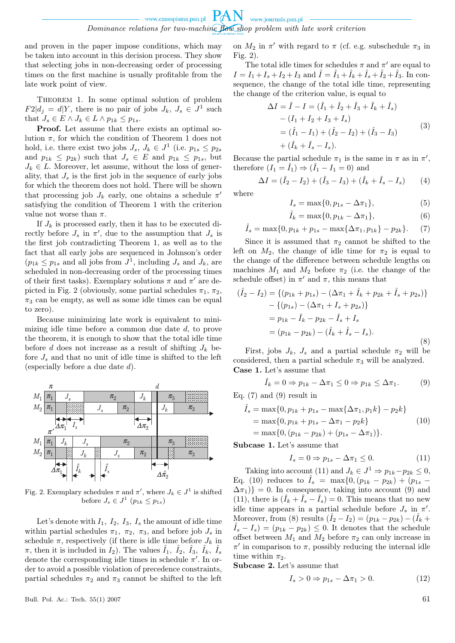and proven in the paper impose conditions, which may be taken into account in this decision process. They show that selecting jobs in non-decreasing order of processing times on the first machine is usually profitable from the late work point of view.

THEOREM 1. In some optimal solution of problem  $F2|d_j = d|Y$ , there is no pair of jobs  $J_k$ ,  $J_s \in J^1$  such that  $J_s \in E \land J_k \in L \land p_{1k} \leq p_{1s}$ .

Proof. Let assume that there exists an optimal solution  $\pi$ , for which the condition of Theorem 1 does not hold, i.e. there exist two jobs  $J_s$ ,  $J_k \in J^1$  (i.e.  $p_{1s} \leq p_{2s}$ and  $p_{1k} \leq p_{2k}$ ) such that  $J_s \in E$  and  $p_{1k} \leq p_{1s}$ , but  $J_k \in L$ . Moreover, let assume, without the loss of generality, that  $J_s$  is the first job in the sequence of early jobs for which the theorem does not hold. There will be shown that processing job  $J_k$  early, one obtains a schedule  $\pi'$ satisfying the condition of Theorem 1 with the criterion value not worse than  $\pi$ .

If  $J_k$  is processed early, then it has to be executed directly before  $J_s$  in  $\pi'$ , due to the assumption that  $J_s$  is the first job contradicting Theorem 1, as well as to the fact that all early jobs are sequenced in Johnson's order  $(p_{1k} \leq p_{1s}$  and all jobs from  $J^1$ , including  $J_s$  and  $J_k$ , are scheduled in non-decreasing order of the processing times of their first tasks). Exemplary solutions  $\pi$  and  $\pi'$  are depicted in Fig. 2 (obviously, some partial schedules  $\pi_1$ ,  $\pi_2$ ,  $\pi_3$  can be empty, as well as some idle times can be equal to zero).

Because minimizing late work is equivalent to minimizing idle time before a common due date *d*, to prove the theorem, it is enough to show that the total idle time before *d* does not increase as a result of shifting  $J_k$  before  $J_s$  and that no unit of idle time is shifted to the left (especially before a due date *d*).



Fig. 2. Exemplary schedules  $\pi$  and  $\pi'$ , where  $J_k \in J^1$  is shifted before  $J_s \in J^1$   $(p_{1k} \leq p_{1s})$ 

Let's denote with  $I_1$ ,  $I_2$ ,  $I_3$ ,  $I_s$  the amount of idle time within partial schedules  $\pi_1$ ,  $\pi_2$ ,  $\pi_3$ , and before job  $J_s$  in schedule  $\pi$ , respectively (if there is idle time before  $J_k$  in  $\pi$ , then it is included in  $\hat{I}_2$ ). The values  $\hat{I}_1$ ,  $\hat{I}_2$ ,  $\hat{I}_3$ ,  $\hat{I}_k$ ,  $\hat{I}_s$ denote the corresponding idle times in schedule  $\pi'$ . In order to avoid a possible violation of precedence constraints, partial schedules  $\pi_2$  and  $\pi_3$  cannot be shifted to the left

Bull. Pol. Ac.: Tech. 55(1) 2007 61

on  $M_2$  in  $\pi'$  with regard to  $\pi$  (cf. e.g. subschedule  $\pi_3$  in Fig. 2).

The total idle times for schedules  $\pi$  and  $\pi'$  are equal to  $I = I_1 + I_s + I_2 + I_3$  and  $I = I_1 + I_k + I_s + I_2 + I_3$ . In consequence, the change of the total idle time, representing the change of the criterion value, is equal to

$$
\Delta I = \hat{I} - I = (\hat{I}_1 + \hat{I}_2 + \hat{I}_3 + \hat{I}_k + \hat{I}_s) \n- (I_1 + I_2 + I_3 + I_s) \n= (\hat{I}_1 - I_1) + (\hat{I}_2 - I_2) + (\hat{I}_3 - I_3) \n+ (\hat{I}_k + \hat{I}_s - I_s).
$$
\n(3)

Because the partial schedule  $\pi_1$  is the same in  $\pi$  as in  $\pi'$ , therefore  $(I_1 = \hat{I}_1) \Rightarrow (\hat{I}_1 - I_1 = 0)$  and

$$
\Delta I = (\hat{I}_2 - I_2) + (\hat{I}_3 - I_3) + (\hat{I}_k + \hat{I}_s - I_s)
$$
 (4)

where

$$
I_s = \max\{0, p_{1s} - \Delta \pi_1\},\tag{5}
$$

$$
\hat{I}_k = \max\{0, p_{1k} - \Delta \pi_1\},\tag{6}
$$

$$
\hat{I}_s = \max\{0, p_{1k} + p_{1s} - \max\{\Delta \pi_1, p_{1k}\} - p_{2k}\}.
$$
 (7)

Since it is assumed that  $\pi_2$  cannot be shifted to the left on  $M_2$ , the change of idle time for  $\pi_2$  is equal to the change of the difference between schedule lengths on machines  $M_1$  and  $M_2$  before  $\pi_2$  (i.e. the change of the schedule offset) in  $\pi'$  and  $\pi$ , this means that

$$
(\hat{I}_2 - I_2) = \{ (p_{1k} + p_{1s}) - (\Delta \pi_1 + \hat{I}_k + p_{2k} + \hat{I}_s + p_{2s}) \} - \{ (p_{1s}) - (\Delta \pi_1 + I_s + p_{2s}) \}
$$
  
=  $p_{1k} - \hat{I}_k - p_{2k} - \hat{I}_s + I_s$   
=  $(p_{1k} - p_{2k}) - (\hat{I}_k + \hat{I}_s - I_s).$  (8)

First, jobs  $J_k$ ,  $J_s$  and a partial schedule  $\pi_2$  will be considered, then a partial schedule  $\pi_3$  will be analyzed. Case 1. Let's assume that

$$
\hat{I}_k = 0 \Rightarrow p_{1k} - \Delta \pi_1 \le 0 \Rightarrow p_{1k} \le \Delta \pi_1. \tag{9}
$$

Eq.  $(7)$  and  $(9)$  result in

$$
\hat{I}_s = \max\{0, p_{1k} + p_{1s} - \max\{\Delta \pi_1, p_1 k\} - p_2 k\}
$$
  
= 
$$
\max\{0, p_{1k} + p_{1s} - \Delta \pi_1 - p_2 k\}
$$
  
= 
$$
\max\{0, (p_{1k} - p_{2k}) + (p_{1s} - \Delta \pi_1)\}.
$$
 (10)

Subcase 1. Let's assume that

$$
I_s = 0 \Rightarrow p_{1s} - \Delta \pi_1 \le 0. \tag{11}
$$

Taking into account (11) and  $J_k \in J^1 \Rightarrow p_{1k} - p_{2k} \leq 0$ , Eq. (10) reduces to  $\hat{I}_s$  = max{0*,*( $p_{1k}$  *-*  $p_{2k}$ ) + ( $p_{1s}$  - $\Delta \pi_1$ } = 0. In consequence, taking into account (9) and  $(11)$ , there is  $(\hat{I}_k + \hat{I}_s - \hat{I}_s) = 0$ . This means that no new idle time appears in a partial schedule before  $J_s$  in  $\pi'$ . Moreover, from (8) results  $(\hat{I}_2 - I_2) = (p_{1k} - p_{2k}) - (\hat{I}_k + \hat{I}_k)$  $(\hat{I}_s - I_s) = (p_{1k} - p_{2k}) \leq 0$ . It denotes that the schedule offset between  $M_1$  and  $M_2$  before  $\pi_2$  can only increase in  $\pi'$  in comparison to  $\pi$ , possibly reducing the internal idle time within  $\pi_2$ .

Subcase 2. Let's assume that

$$
I_s > 0 \Rightarrow p_{1s} - \Delta \pi_1 > 0. \tag{12}
$$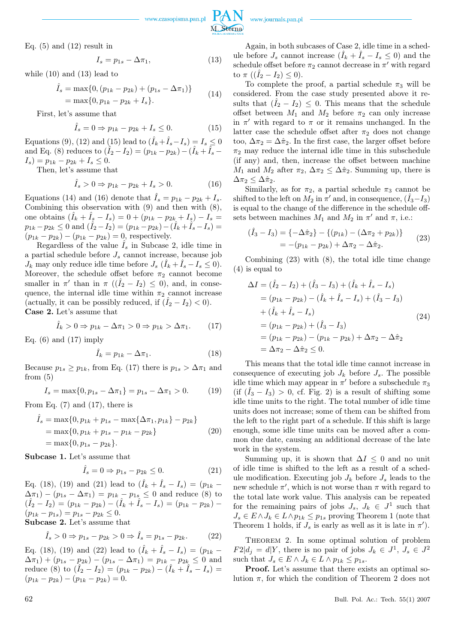

Eq.  $(5)$  and  $(12)$  result in

$$
I_s = p_{1s} - \Delta \pi_1,\tag{13}
$$

while (10) and (13) lead to

$$
\hat{I}_s = \max\{0, (p_{1k} - p_{2k}) + (p_{1s} - \Delta \pi_1)\}
$$
  
=  $\max\{0, p_{1k} - p_{2k} + I_s\}.$  (14)

First, let's assume that

$$
\hat{I}_s = 0 \Rightarrow p_{1k} - p_{2k} + I_s \le 0. \tag{15}
$$

Equations (9), (12) and (15) lead to  $(\hat{I}_k + \hat{I}_s - I_s) = I_s \le 0$ and Eq. (8) reduces to  $(\hat{I}_2 - I_2) = (p_{1k} - p_{2k}) - (\hat{I}_k + \hat{I}_s - \hat{I}_k)$  $I_s$ ) =  $p_{1k} - p_{2k} + I_s \leq 0$ .

Then, let's assume that

$$
\hat{I}_s > 0 \Rightarrow p_{1k} - p_{2k} + I_s > 0. \tag{16}
$$

Equations (14) and (16) denote that  $\hat{I}_s = p_{1k} - p_{2k} + I_s$ . Combining this observation with (9) and then with (8), one obtains  $(\hat{I}_k + \hat{I}_s - I_s) = 0 + (p_{1k} - p_{2k} + I_s) - I_s =$  $p_{1k} - p_{2k} \le 0$  and  $(\hat{I}_2 - I_2) = (p_{1k} - p_{2k}) - (\hat{I}_k + \hat{I}_s - I_s) =$  $(p_{1k} - p_{2k}) - (p_{1k} - p_{2k}) = 0$ , respectively.

Regardless of the value  $I_s$  in Subcase 2, idle time in a partial schedule before *J<sup>s</sup>* cannot increase, because job  $J_k$  may only reduce idle time before  $J_s$  ( $\hat{I}_k + \hat{I}_s - I_s \leq 0$ ). Moreover, the schedule offset before  $\pi_2$  cannot become smaller in  $\pi'$  than in  $\pi$  (( $\hat{I}_2 - I_2$ )  $\leq$  0), and, in consequence, the internal idle time within  $\pi_2$  cannot increase (actually, it can be possibly reduced, if  $(\hat{I}_2 - I_2) < 0$ ). Case 2. Let's assume that

$$
\hat{I}_k > 0 \Rightarrow p_{1k} - \Delta \pi_1 > 0 \Rightarrow p_{1k} > \Delta \pi_1. \tag{17}
$$

Eq.  $(6)$  and  $(17)$  imply

$$
\hat{I}_k = p_{1k} - \Delta \pi_1. \tag{18}
$$

Because  $p_{1s} \geq p_{1k}$ , from Eq. (17) there is  $p_{1s} > \Delta \pi_1$  and from  $(5)$ 

$$
I_s = \max\{0, p_{1s} - \Delta \pi_1\} = p_{1s} - \Delta \pi_1 > 0. \tag{19}
$$

From Eq.  $(7)$  and  $(17)$ , there is

$$
\hat{I}_s = \max\{0, p_{1k} + p_{1s} - \max\{\Delta \pi_1, p_{1k}\} - p_{2k}\}\
$$
  
= 
$$
\max\{0, p_{1k} + p_{1s} - p_{1k} - p_{2k}\}\
$$
  
= 
$$
\max\{0, p_{1s} - p_{2k}\}.
$$
 (20)

Subcase 1. Let's assume that

$$
\hat{I}_s = 0 \Rightarrow p_{1s} - p_{2k} \le 0. \tag{21}
$$

Eq. (18), (19) and (21) lead to  $(\hat{I}_k + \hat{I}_s - I_s) = (p_{1k} (\Delta \pi_1) - (p_{1s} - \Delta \pi_1) = p_{1k} - p_{1s} \leq 0$  and reduce (8) to  $(\hat{I}_2 - I_2) = (p_{1k} - p_{2k}) - (\hat{I}_k + \hat{I}_s - I_s) = (p_{1k} - p_{2k}) - \hat{I}_s$  $(p_{1k} - p_{1s}) = p_{1s} - p_{2k} \leq 0.$ Subcase 2. Let's assume that

$$
\hat{I}_s > 0 \Rightarrow p_{1s} - p_{2k} > 0 \Rightarrow \hat{I}_s = p_{1s} - p_{2k}.
$$
 (22)

Eq. (18), (19) and (22) lead to  $(\hat{I}_k + \hat{I}_s - I_s) = (p_{1k} (\Delta \pi_1) + (p_{1s} - p_{2k}) - (p_{1s} - \Delta \pi_1) = p_{1k} - p_{2k} \leq 0$  and reduce (8) to  $(\hat{I}_2 - I_2) = (p_{1k} - p_{2k}) - (\hat{I}_k + \hat{I}_s - I_s) =$  $(p_{1k} - p_{2k}) - (p_{1k} - p_{2k}) = 0.$ 

Again, in both subcases of Case 2, idle time in a schedule before  $J_s$  cannot increase  $(\hat{I}_k + \hat{I}_s - I_s \leq 0)$  and the schedule offset before  $\pi_2$  cannot decrease in  $\pi'$  with regard to  $\pi$  (( $I_2 - I_2$ )  $\leq$  0).

To complete the proof, a partial schedule  $\pi_3$  will be considered. From the case study presented above it results that  $(\hat{I}_2 - I_2) \leq 0$ . This means that the schedule offset between  $M_1$  and  $M_2$  before  $\pi_2$  can only increase in  $\pi'$  with regard to  $\pi$  or it remains unchanged. In the latter case the schedule offset after  $\pi_2$  does not change too,  $\Delta \pi_2 = \Delta \hat{\pi}_2$ . In the first case, the larger offset before  $\pi_2$  may reduce the internal idle time in this subschedule (if any) and, then, increase the offset between machine *M*<sub>1</sub> and *M*<sub>2</sub> after  $\pi_2$ ,  $\Delta \pi_2 \leq \Delta \hat{\pi}_2$ . Summing up, there is  $\Delta \pi_2 \leq \Delta \hat{\pi}_2$ .

Similarly, as for  $\pi_2$ , a partial schedule  $\pi_3$  cannot be  $\sin$  fifted to the left on  $M_2$  in  $\pi'$  and, in consequence,  $(\hat{I}_3 - I_3)$ is equal to the change of the difference in the schedule offsets between machines  $M_1$  and  $M_2$  in  $\pi'$  and  $\pi$ , i.e.:

$$
(\hat{I}_3 - I_3) = \{-\Delta \hat{\pi}_2\} - \{(p_{1k}) - (\Delta \pi_2 + p_{2k})\}
$$
  
= -(p\_{1k} - p\_{2k}) + \Delta \pi\_2 - \Delta \hat{\pi}\_2. (23)

Combining (23) with (8), the total idle time change (4) is equal to

$$
\Delta I = (\hat{I}_2 - I_2) + (\hat{I}_3 - I_3) + (\hat{I}_k + \hat{I}_s - I_s)
$$
  
\n
$$
= (p_{1k} - p_{2k}) - (\hat{I}_k + \hat{I}_s - I_s) + (\hat{I}_3 - I_3)
$$
  
\n
$$
+ (\hat{I}_k + \hat{I}_s - I_s)
$$
  
\n
$$
= (p_{1k} - p_{2k}) + (\hat{I}_3 - I_3)
$$
  
\n
$$
= (p_{1k} - p_{2k}) - (p_{1k} - p_{2k}) + \Delta \pi_2 - \Delta \hat{\pi}_2
$$
  
\n
$$
= \Delta \pi_2 - \Delta \hat{\pi}_2 \leq 0.
$$
\n(24)

This means that the total idle time cannot increase in consequence of executing job  $J_k$  before  $J_s$ . The possible idle time which may appear in  $\pi'$  before a subschedule  $\pi_3$ (if  $(\hat{I}_3 - I_3) > 0$ , cf. Fig. 2) is a result of shifting some idle time units to the right. The total number of idle time units does not increase; some of them can be shifted from the left to the right part of a schedule. If this shift is large enough, some idle time units can be moved after a common due date, causing an additional decrease of the late work in the system.

Summing up, it is shown that  $\Delta I \leq 0$  and no unit of idle time is shifted to the left as a result of a schedule modification. Executing job  $J_k$  before  $J_s$  leads to the new schedule  $\pi'$ , which is not worse than  $\pi$  with regard to the total late work value. This analysis can be repeated for the remaining pairs of jobs  $J_s$ ,  $J_k \in J^1$  such that  $J_s \in E \land J_k \in L \land p_{1k} \leq p_{1s}$  proving Theorem 1 (note that Theorem 1 holds, if  $J_s$  is early as well as it is late in  $\pi'$ ).

THEOREM 2. In some optimal solution of problem  $F2|d_j = d|Y$ , there is no pair of jobs  $J_k \in J^1$ ,  $J_s \in J^2$ such that  $J_s \in E \land J_k \in L \land p_{1k} \leq p_{1s}$ .

Proof. Let's assume that there exists an optimal solution  $\pi$ , for which the condition of Theorem 2 does not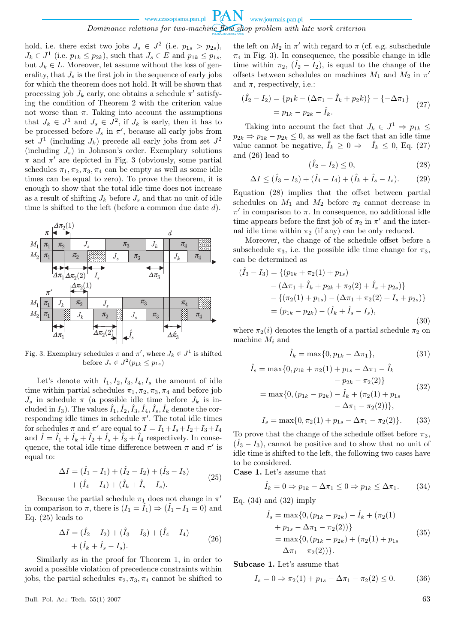*Dominance relations for two-machine flow shop problem with late work criterion*

hold, i.e. there exist two jobs  $J_s \in J^2$  (i.e.  $p_{1s} > p_{2s}$ ),  $J_k \in J^1$  (i.e.  $p_{1k} \leq p_{2k}$ ), such that  $J_s \in E$  and  $p_{1k} \leq p_{1s}$ , but  $J_k \in L$ . Moreover, let assume without the loss of generality, that  $J_s$  is the first job in the sequence of early jobs for which the theorem does not hold. It will be shown that processing job  $J_k$  early, one obtains a schedule  $\pi'$  satisfying the condition of Theorem 2 with the criterion value not worse than  $\pi$ . Taking into account the assumptions that  $J_k \in J^1$  and  $J_s \in J^2$ , if  $J_k$  is early, then it has to be processed before  $J_s$  in  $\pi'$ , because all early jobs from set  $J^1$  (including  $J_k$ ) precede all early jobs from set  $J^2$ (including *Js*) in Johnson's order. Exemplary solutions  $\pi$  and  $\pi'$  are depicted in Fig. 3 (obviously, some partial schedules  $\pi_1, \pi_2, \pi_3, \pi_4$  can be empty as well as some idle times can be equal to zero). To prove the theorem, it is enough to show that the total idle time does not increase as a result of shifting  $J_k$  before  $J_s$  and that no unit of idle time is shifted to the left (before a common due date *d*).



Fig. 3. Exemplary schedules  $\pi$  and  $\pi'$ , where  $J_k \in J^1$  is shifted before  $J_s \in J^2(p_{1k} \le p_{1s})$ 

Let's denote with  $I_1, I_2, I_3, I_4, I_s$  the amount of idle time within partial schedules  $\pi_1, \pi_2, \pi_3, \pi_4$  and before job  $J_s$  in schedule  $\pi$  (a possible idle time before  $J_k$  is included in  $I_3$ ). The values  $\hat{I}_1$ ,  $\hat{I}_2$ ,  $\hat{I}_3$ ,  $\hat{I}_4$ ,  $\hat{I}_s$ ,  $\hat{I}_k$  denote the corresponding idle times in schedule  $\pi'$ . The total idle times for schedules  $\pi$  and  $\pi'$  are equal to  $I = I_1 + I_s + I_2 + I_3 + I_4$ and  $\hat{I} = \hat{I}_1 + \hat{I}_k + \hat{I}_2 + \hat{I}_3 + \hat{I}_4$  respectively. In consequence, the total idle time difference between  $\pi$  and  $\pi'$  is equal to:

$$
\Delta I = (\hat{I}_1 - I_1) + (\hat{I}_2 - I_2) + (\hat{I}_3 - I_3) + (\hat{I}_4 - I_4) + (\hat{I}_k + \hat{I}_s - I_s).
$$
\n(25)

Because the partial schedule  $\pi_1$  does not change in  $\pi'$ in comparison to  $\pi$ , there is  $(I_1 = \hat{I}_1) \Rightarrow (\hat{I}_1 - I_1 = 0)$  and Eq.  $(25)$  leads to

$$
\Delta I = (\hat{I}_2 - I_2) + (\hat{I}_3 - I_3) + (\hat{I}_4 - I_4) + (\hat{I}_k + \hat{I}_s - I_s).
$$
\n(26)

Similarly as in the proof for Theorem 1, in order to avoid a possible violation of precedence constraints within jobs, the partial schedules  $\pi_2, \pi_3, \pi_4$  cannot be shifted to

Bull. Pol. Ac.: Tech. 55(1) 2007 63

the left on  $M_2$  in  $\pi'$  with regard to  $\pi$  (cf. e.g. subschedule  $\pi_4$  in Fig. 3). In consequence, the possible change in idle time within  $\pi_2$ ,  $(\hat{I}_2 - I_2)$ , is equal to the change of the offsets between schedules on machines  $M_1$  and  $M_2$  in  $\pi'$ and  $\pi$ , respectively, i.e.:

$$
(\hat{I}_2 - I_2) = \{p_1k - (\Delta \pi_1 + \hat{I}_k + p_2k)\} - \{-\Delta \pi_1\}
$$
  
=  $p_{1k} - p_{2k} - \hat{I}_k.$  (27)

Taking into account the fact that  $J_k \in J^1 \Rightarrow p_{1k} \leq$  $p_{2k} \Rightarrow p_{1k} - p_{2k} \leq 0$ , as well as the fact that an idle time value cannot be negative,  $\hat{I}_k \geq 0 \Rightarrow -\hat{I}_k \leq 0$ , Eq. (27) and (26) lead to

$$
(\hat{I}_2 - I_2) \le 0,\t(28)
$$

$$
\Delta I \le (\hat{I}_3 - I_3) + (\hat{I}_4 - I_4) + (\hat{I}_k + \hat{I}_s - I_s). \tag{29}
$$

Equation (28) implies that the offset between partial schedules on  $M_1$  and  $M_2$  before  $\pi_2$  cannot decrease in  $\pi'$  in comparison to  $\pi$ . In consequence, no additional idle time appears before the first job of  $\pi_2$  in  $\pi'$  and the internal idle time within  $\pi_2$  (if any) can be only reduced.

Moreover, the change of the schedule offset before a subschedule  $\pi_3$ , i.e. the possible idle time change for  $\pi_3$ , can be determined as

$$
(\hat{I}_3 - I_3) = \{ (p_{1k} + \pi_2(1) + p_{1s})
$$
  
\n
$$
- (\Delta \pi_1 + \hat{I}_k + p_{2k} + \pi_2(2) + \hat{I}_s + p_{2s}) \}
$$
  
\n
$$
- \{ (\pi_2(1) + p_{1s}) - (\Delta \pi_1 + \pi_2(2) + I_s + p_{2s}) \}
$$
  
\n
$$
= (p_{1k} - p_{2k}) - (\hat{I}_k + \hat{I}_s - I_s),
$$
\n(30)

where  $\pi_2(i)$  denotes the length of a partial schedule  $\pi_2$  on machine *M<sup>i</sup>* and

$$
\hat{I}_k = \max\{0, p_{1k} - \Delta \pi_1\},\tag{31}
$$

$$
\hat{I}_s = \max\{0, p_{1k} + \pi_2(1) + p_{1s} - \Delta\pi_1 - \hat{I}_k - p_{2k} - \pi_2(2)\}\
$$
  
= 
$$
\max\{0, (p_{1k} - p_{2k}) - \hat{I}_k + (\pi_2(1) + p_{1s} - \Delta\pi_1 - \pi_2(2))\},
$$
  
(32)

$$
I_s = \max\{0, \pi_2(1) + p_{1s} - \Delta \pi_1 - \pi_2(2)\}.
$$
 (33)

To prove that the change of the schedule offset before  $\pi_3$ ,  $(\hat{I}_3 - I_3)$ , cannot be positive and to show that no unit of idle time is shifted to the left, the following two cases have to be considered.

Case 1. Let's assume that

$$
\hat{I}_k = 0 \Rightarrow p_{1k} - \Delta \pi_1 \le 0 \Rightarrow p_{1k} \le \Delta \pi_1. \tag{34}
$$

Eq.  $(34)$  and  $(32)$  imply

$$
\hat{I}_s = \max\{0, (p_{1k} - p_{2k}) - \hat{I}_k + (\pi_2(1) + p_{1s} - \Delta \pi_1 - \pi_2(2))\}
$$
  
= 
$$
\max\{0, (p_{1k} - p_{2k}) + (\pi_2(1) + p_{1s} - \Delta \pi_1 - \pi_2(2))\}.
$$
 (35)

Subcase 1. Let's assume that

$$
I_s = 0 \Rightarrow \pi_2(1) + p_{1s} - \Delta \pi_1 - \pi_2(2) \le 0. \tag{36}
$$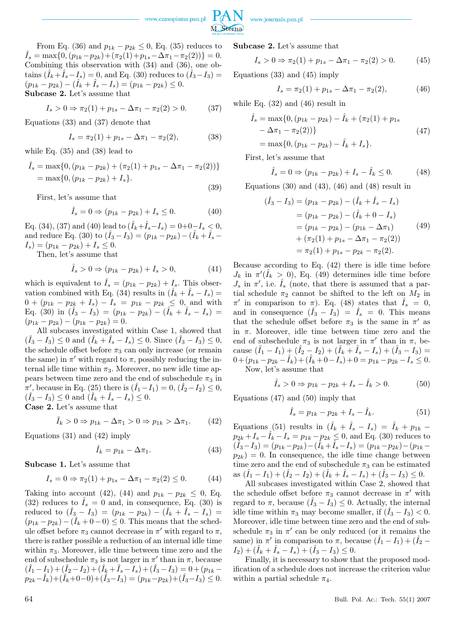

From Eq. (36) and  $p_{1k} - p_{2k} \leq 0$ , Eq. (35) reduces to  $\hat{I}_s = \max\{0, (p_{1k} - p_{2k}) + (\pi_2(1) + p_{1s} - \Delta \pi_1 - \pi_2(2))\} = 0.$ Combining this observation with (34) and (36), one ob- $\tanis \left( \hat{I}_k + \hat{I}_s - I_s \right) = 0$ , and Eq. (30) reduces to  $\left( \hat{I}_3 - I_3 \right) = 0$  $(p_{1k} - p_{2k}) - (\hat{I}_k + \hat{I}_s - I_s) = (p_{1k} - p_{2k}) \leq 0.$ Subcase 2. Let's assume that

$$
I_s > 0 \Rightarrow \pi_2(1) + p_{1s} - \Delta \pi_1 - \pi_2(2) > 0. \tag{37}
$$

Equations (33) and (37) denote that

$$
I_s = \pi_2(1) + p_{1s} - \Delta \pi_1 - \pi_2(2), \tag{38}
$$

while Eq. (35) and (38) lead to

$$
\hat{I}_s = \max\{0, (p_{1k} - p_{2k}) + (\pi_2(1) + p_{1s} - \Delta\pi_1 - \pi_2(2))\}
$$
  
= 
$$
\max\{0, (p_{1k} - p_{2k}) + I_s\}.
$$
 (39)

First, let's assume that

$$
\hat{I}_s = 0 \Rightarrow (p_{1k} - p_{2k}) + I_s \le 0.
$$
 (40)

Eq. (34), (37) and (40) lead to  $(\hat{I}_k + \hat{I}_s - I_s) = 0 + 0 - I_s < 0$ , and reduce Eq. (30) to  $(\hat{I}_3 - I_3) = (p_{1k} - p_{2k}) - (\hat{I}_k + \hat{I}_s - \hat{I}_j)$  $I_s$ ) =  $(p_{1k} - p_{2k}) + I_s \leq 0$ .

Then, let's assume that

$$
\hat{I}_s > 0 \Rightarrow (p_{1k} - p_{2k}) + I_s > 0,
$$
\n(41)

which is equivalent to  $\hat{I}_s = (p_{1k} - p_{2k}) + I_s$ . This observation combined with Eq. (34) results in  $(\hat{I}_k + \hat{I}_s - I_s)$  $0 + (p_{1k} - p_{2k} + I_s) - I_s = p_{1k} - p_{2k} \leq 0$ , and with  $Eq. (30)$  in  $(\hat{I}_3 - I_3) = (p_{1k} - p_{2k}) - (\hat{I}_k + \hat{I}_s - I_s) =$  $(p_{1k} - p_{2k}) - (p_{1k} - p_{2k}) = 0.$ 

All subcases investigated within Case 1, showed that  $(\hat{I}_3 - I_3) \leq 0$  and  $(\hat{I}_k + \hat{I}_s - I_s) \leq 0$ . Since  $(\hat{I}_3 - I_3) \leq 0$ , the schedule offset before  $\pi_3$  can only increase (or remain the same) in  $\pi'$  with regard to  $\pi$ , possibly reducing the internal idle time within  $\pi_3$ . Moreover, no new idle time appears between time zero and the end of subschedule  $\pi_3$  in  $\overline{\pi}'$ , because in Eq. (25) there is  $(\hat{I}_1 - I_1) = 0$ ,  $(\hat{I}_2 - I_2) \leq 0$ ,  $(\hat{I}_3 - I_3) \leq 0$  and  $(\hat{I}_k + \hat{I}_s - I_s) \leq 0$ . Case 2. Let's assume that

$$
\hat{I}_k > 0 \Rightarrow p_{1k} - \Delta \pi_1 > 0 \Rightarrow p_{1k} > \Delta \pi_1. \tag{42}
$$

Equations (31) and (42) imply

$$
\hat{I}_k = p_{1k} - \Delta \pi_1. \tag{43}
$$

Subcase 1. Let's assume that

$$
I_s = 0 \Rightarrow \pi_2(1) + p_{1s} - \Delta \pi_1 - \pi_2(2) \le 0.
$$
 (44)

Taking into account (42), (44) and  $p_{1k} - p_{2k} \leq 0$ , Eq. (32) reduces to  $I_s = 0$  and, in consequence, Eq. (30) is  $\text{reduced to} \ \ (\hat{I}_3 - I_3) = (p_{1k} - p_{2k}) - (\hat{I}_k + \hat{I}_s - I_s) = 0$  $(p_{1k} - p_{2k}) - (\hat{I}_k + 0 - 0) \leq 0$ . This means that the schedule offset before  $\pi_3$  cannot decrease in  $\pi'$  with regard to  $\pi$ , there is rather possible a reduction of an internal idle time within  $\pi_3$ . Moreover, idle time between time zero and the end of subschedule  $\pi_3$  is not larger in  $\pi'$  than in  $\pi$ , because  $(\hat{I}_1 - I_1) + (\hat{I}_2 - I_2) + (\hat{I}_k + \hat{I}_s - I_s) + (\hat{I}_3 - I_3) = 0 + (p_{1k}$  $p_{2k} - \hat{I}_k$ )+( $\hat{I}_k$ +0−0)+( $\hat{I}_3$ − $I_3$ ) = ( $p_{1k}$ − $p_{2k}$ )+( $\hat{I}_3$ − $I_3$ ) ≤ 0.

Subcase 2. Let's assume that

$$
I_s > 0 \Rightarrow \pi_2(1) + p_{1s} - \Delta \pi_1 - \pi_2(2) > 0. \tag{45}
$$

Equations (33) and (45) imply

$$
I_s = \pi_2(1) + p_{1s} - \Delta \pi_1 - \pi_2(2), \tag{46}
$$

while Eq. (32) and (46) result in

$$
\hat{I}_s = \max\{0, (p_{1k} - p_{2k}) - \hat{I}_k + (\pi_2(1) + p_{1s}) - \Delta\pi_1 - \pi_2(2))\}
$$
\n
$$
= \max\{0, (p_{1k} - p_{2k}) - \hat{I}_k + I_s\}.
$$
\n(47)

First, let's assume that

$$
\hat{I}_s = 0 \Rightarrow (p_{1k} - p_{2k}) + I_s - \hat{I}_k \le 0.
$$
 (48)

Equations  $(30)$  and  $(43)$ ,  $(46)$  and  $(48)$  result in

$$
(\hat{I}_3 - I_3) = (p_{1k} - p_{2k}) - (\hat{I}_k + \hat{I}_s - I_s)
$$
  
=  $(p_{1k} - p_{2k}) - (\hat{I}_k + 0 - I_s)$   
=  $(p_{1k} - p_{2k}) - (p_{1k} - \Delta \pi_1)$  (49)  
+  $(\pi_2(1) + p_{1s} - \Delta \pi_1 - \pi_2(2))$   
=  $\pi_2(1) + p_{1s} - p_{2k} - \pi_2(2)$ .

Because according to Eq. (42) there is idle time before  $J_k$  in  $\pi'(\hat{I}_k > 0)$ , Eq. (49) determines idle time before  $J_s$  in  $\pi'$ , i.e.  $\hat{I}_s$  (note, that there is assumed that a partial schedule  $\pi_2$  cannot be shifted to the left on  $M_2$  in *π*<sup>*i*</sup> in comparison to *π*). Eq. (48) states that  $\hat{I}_s = 0$ , and in consequence  $(\hat{I}_3 - \bar{I}_3) = \hat{I}_s = 0$ . This means that the schedule offset before  $\pi_3$  is the same in  $\pi'$  as in *π*. Moreover, idle time between time zero and the end of subschedule  $\pi_3$  is not larger in  $\pi'$  than in  $\pi$ , be- $\text{cause } (\hat{I}_1 - I_1) + (\hat{I}_2 - I_2) + (\hat{I}_k + \hat{I}_s - I_s) + (\hat{I}_3 - I_3) =$  $0+(p_{1k}-p_{2k}-\hat{I}_k)+(\hat{I}_k+0-I_s)+0=p_{1k}-p_{2k}-I_s\leq 0.$ 

Now, let's assume that

$$
\hat{I}_s > 0 \Rightarrow p_{1k} - p_{2k} + I_s - \hat{I}_k > 0.
$$
 (50)

Equations (47) and (50) imply that

$$
\hat{I}_s = p_{1k} - p_{2k} + I_s - \hat{I}_k. \tag{51}
$$

Equations (51) results in  $(\hat{I}_k + \hat{I}_s - I_s) = \hat{I}_k + p_{1k} - \hat{I}_s$  $p_{2k} + I_s - I_k - I_s = p_{1k} - p_{2k} \leq 0$ , and Eq. (30) reduces to  $(\hat{I}_3 - I_3) = (p_{1k} - p_{2k}) - (\hat{I}_k + \hat{I}_s - I_s) = (p_{1k} - p_{2k}) - (p_{1k} - p_{2k})$  $p_{2k}$ ) = 0. In consequence, the idle time change between time zero and the end of subschedule  $\pi_3$  can be estimated  $\text{as } (\hat{I}_1 - I_1) + (\hat{I}_2 - I_2) + (\hat{I}_k + \hat{I}_s - I_s) + (\hat{I}_3 - I_3) \leq 0.$ 

All subcases investigated within Case 2, showed that the schedule offset before  $\pi_3$  cannot decrease in  $\pi'$  with regard to  $\pi$ , because  $(\hat{I}_3 - I_3) \leq 0$ . Actually, the internal idle time within  $\pi_3$  may become smaller, if  $(\hat{I}_3 - I_3) < 0$ . Moreover, idle time between time zero and the end of subschedule  $\pi_3$  in  $\pi'$  can be only reduced (or it remains the same) in  $\pi'$  in comparison to  $\pi$ , because  $(\hat{I}_1 - I_1) + (\hat{I}_2 - I_1)$  $I_2$ ) + ( $\hat{I}_k + \hat{I}_s - I_s$ ) + ( $\hat{I}_3 - I_3$ )  $\leq 0$ .

Finally, it is necessary to show that the proposed modification of a schedule does not increase the criterion value within a partial schedule  $\pi_4$ .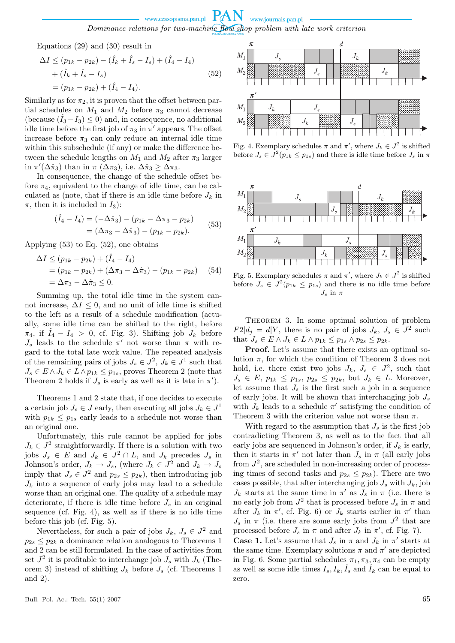Equations (29) and (30) result in

$$
\Delta I \le (p_{1k} - p_{2k}) - (\hat{I}_k + \hat{I}_s - I_s) + (\hat{I}_4 - I_4) + (\hat{I}_k + \hat{I}_s - I_s) = (p_{1k} - p_{2k}) + (\hat{I}_4 - I_4).
$$
\n(52)

Similarly as for  $\pi_2$ , it is proven that the offset between partial schedules on  $M_1$  and  $M_2$  before  $\pi_3$  cannot decrease (because  $(\hat{I}_3 - I_3) \leq 0$ ) and, in consequence, no additional idle time before the first job of  $\pi_3$  in  $\pi'$  appears. The offset increase before  $\pi_3$  can only reduce an internal idle time within this subschedule (if any) or make the difference between the schedule lengths on  $M_1$  and  $M_2$  after  $\pi_3$  larger in  $\pi'(\Delta \hat{\pi}_3)$  than in  $\pi(\Delta \pi_3)$ , i.e.  $\Delta \hat{\pi}_3 \geq \Delta \pi_3$ .

In consequence, the change of the schedule offset before  $\pi_4$ , equivalent to the change of idle time, can be calculated as (note, that if there is an idle time before  $J_k$  in  $\pi$ , then it is included in  $I_3$ ):

$$
(\hat{I}_4 - I_4) = (-\Delta \hat{\pi}_3) - (p_{1k} - \Delta \pi_3 - p_{2k})
$$
  
=  $( \Delta \pi_3 - \Delta \hat{\pi}_3 ) - (p_{1k} - p_{2k}).$  (53)

Applying  $(53)$  to Eq.  $(52)$ , one obtains

$$
\Delta I \le (p_{1k} - p_{2k}) + (\hat{I}_4 - I_4)
$$
  
=  $(p_{1k} - p_{2k}) + (\Delta \pi_3 - \Delta \hat{\pi}_3) - (p_{1k} - p_{2k})$  (54)  
=  $\Delta \pi_3 - \Delta \hat{\pi}_3 \le 0$ .

Summing up, the total idle time in the system cannot increase,  $\Delta I \leq 0$ , and no unit of idle time is shifted to the left as a result of a schedule modification (actually, some idle time can be shifted to the right, before  $\pi_4$ , if  $\tilde{I}_4 - I_4 > 0$ , cf. Fig. 3). Shifting job  $J_k$  before  $J_s$  leads to the schedule  $\pi'$  not worse than  $\pi$  with regard to the total late work value. The repeated analysis of the remaining pairs of jobs  $J_s \in J^2$ ,  $J_k \in J^1$  such that *J*<sup>*s*</sup> ∈ *E*  $\land$  *J*<sup>*k*</sup> ∈ *L*  $\land$  *p*<sub>1*k*</sub> ≤ *p*<sub>1*s*</sub>, proves Theorem 2 (note that Theorem 2 holds if  $J_s$  is early as well as it is late in  $\pi'$ ).

Theorems 1 and 2 state that, if one decides to execute a certain job  $J_s \in J$  early, then executing all jobs  $J_k \in J^1$ with  $p_{1k} \leq p_{1s}$  early leads to a schedule not worse than an original one.

Unfortunately, this rule cannot be applied for jobs  $J_k \in J^2$  straightforwardly. If there is a solution with two jobs  $J_s \in E$  and  $J_k \in J^2 \cap L$ , and  $J_k$  precedes  $J_s$  in Johnson's order,  $J_k \to J_s$ , (where  $J_k \in J^2$  and  $J_k \to J_s$ imply that  $J_s \in J^2$  and  $p_{2s} \leq p_{2k}$ ), then introducing job  $J_k$  into a sequence of early jobs may lead to a schedule worse than an original one. The quality of a schedule may deteriorate, if there is idle time before  $J_s$  in an original sequence (cf. Fig. 4), as well as if there is no idle time before this job (cf. Fig. 5).

Nevertheless, for such a pair of jobs  $J_k$ ,  $J_s \in J^2$  and  $p_{2s} \leq p_{2k}$  a dominance relation analogous to Theorems 1 and 2 can be still formulated. In the case of activities from set  $J^2$  it is profitable to interchange job  $J_s$  with  $J_k$  (Theorem 3) instead of shifting  $J_k$  before  $J_s$  (cf. Theorems 1) and 2).



Fig. 4. Exemplary schedules  $\pi$  and  $\pi'$ , where  $J_k \in J^2$  is shifted before  $J_s \in J^2(p_{1k} \leq p_{1s})$  and there is idle time before  $J_s$  in  $\pi$ 



Fig. 5. Exemplary schedules  $\pi$  and  $\pi'$ , where  $J_k \in J^2$  is shifted before  $J_s \in J^2(p_{1k} \leq p_{1s})$  and there is no idle time before  $J_s$  in  $\pi$ 

THEOREM 3. In some optimal solution of problem  $F2|d_j = d|Y$ , there is no pair of jobs  $J_k$ ,  $J_s \in J^2$  such that  $J_s$  ∈  $E \wedge J_k$  ∈  $L \wedge p_{1k} \leq p_{1s} \wedge p_{2s} \leq p_{2k}$ .

Proof. Let's assume that there exists an optimal solution  $\pi$ , for which the condition of Theorem 3 does not hold, i.e. there exist two jobs  $J_k$ ,  $J_s \in J^2$ , such that  $J_s \in E$ ,  $p_{1k} \leq p_{1s}$ ,  $p_{2s} \leq p_{2k}$ , but  $J_k \in L$ . Moreover, let assume that  $J_s$  is the first such a job in a sequence of early jobs. It will be shown that interchanging job *J<sup>s</sup>* with  $J_k$  leads to a schedule  $\pi'$  satisfying the condition of Theorem 3 with the criterion value not worse than *π*.

With regard to the assumption that  $J_s$  is the first job contradicting Theorem 3, as well as to the fact that all early jobs are sequenced in Johnson's order, if  $J_k$  is early, then it starts in  $\pi'$  not later than  $J_s$  in  $\pi$  (all early jobs from  $J^2$ , are scheduled in non-increasing order of processing times of second tasks and  $p_{2s} \leq p_{2k}$ ). There are two cases possible, that after interchanging job  $J_s$  with  $J_k$ , job  $J_k$  starts at the same time in  $\pi'$  as  $J_s$  in  $\pi$  (i.e. there is no early job from  $J^2$  that is processed before  $J_s$  in  $\pi$  and after  $J_k$  in  $\pi'$ , cf. Fig. 6) or  $J_k$  starts earlier in  $\pi'$  than  $J_s$  in  $\pi$  (i.e. there are some early jobs from  $J^2$  that are processed before  $J_s$  in  $\pi$  and after  $J_k$  in  $\pi'$ , cf. Fig. 7).

**Case 1.** Let's assume that  $J_s$  in  $\pi$  and  $J_k$  in  $\pi'$  starts at the same time. Exemplary solutions  $\pi$  and  $\pi'$  are depicted in Fig. 6. Some partial schedules  $\pi_1, \pi_3, \pi_4$  can be empty as well as some idle times  $I_s, I_k, \hat{I}_s$  and  $\hat{I}_k$  can be equal to zero.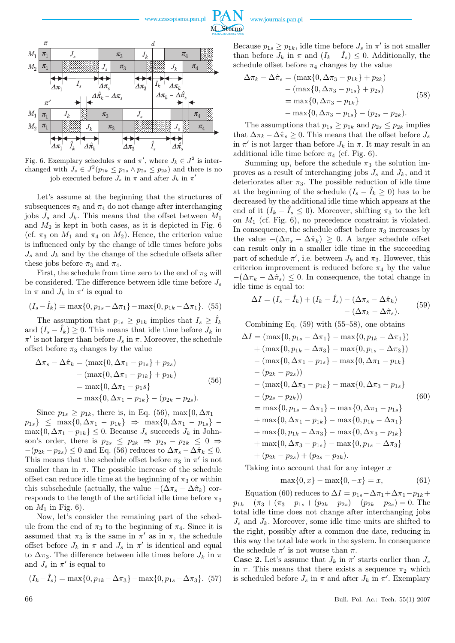

Fig. 6. Exemplary schedules  $\pi$  and  $\pi'$ , where  $J_k \in J^2$  is interchanged with  $J_s \in J^2(p_{1k} \leq p_{1s} \land p_{2s} \leq p_{2k})$  and there is no job executed before  $J_s$  in  $\pi$  and after  $J_k$  in  $\pi'$ 

Let's assume at the beginning that the structures of subsequences  $\pi_3$  and  $\pi_4$  do not change after interchanging jobs  $J_s$  and  $J_k$ . This means that the offset between  $M_1$ and  $M_2$  is kept in both cases, as it is depicted in Fig.  $6$ (cf.  $\pi_3$  on  $M_1$  and  $\pi_4$  on  $M_2$ ). Hence, the criterion value is influenced only by the change of idle times before jobs  $J_s$  and  $J_k$  and by the change of the schedule offsets after these jobs before  $\pi_3$  and  $\pi_4$ .

First, the schedule from time zero to the end of  $\pi_3$  will be considered. The difference between idle time before *J<sup>s</sup>* in  $\pi$  and  $J_k$  in  $\pi'$  is equal to

$$
(I_s - \hat{I}_k) = \max\{0, p_{1s} - \Delta \pi_1\} - \max\{0, p_{1k} - \Delta \pi_1\}.
$$
 (55)

The assumption that  $p_{1s} \geq p_{1k}$  implies that  $I_s \geq I_k$ and  $(I_s - \hat{I}_k) \geq 0$ . This means that idle time before  $J_k$  in  $\pi'$  is not larger than before  $J_s$  in  $\pi$ . Moreover, the schedule offset before  $\pi_3$  changes by the value

$$
\Delta \pi_s - \Delta \hat{\pi}_k = (\max\{0, \Delta \pi_1 - p_{1s}\} + p_{2s})
$$
  
- (\max\{0, \Delta \pi\_1 - p\_{1k}\} + p\_{2k})  
= \max\{0, \Delta \pi\_1 - p\_{1s}\}  
- \max\{0, \Delta \pi\_1 - p\_{1k}\} - (p\_{2k} - p\_{2s}). (56)

Since  $p_{1s} \geq p_{1k}$ , there is, in Eq. (56), max $\{0, \Delta \pi_1$  $p_{1s}$   $\leq$  max $\{0, \Delta \pi_1 - p_{1k}\} \Rightarrow$  max $\{0, \Delta \pi_1 - p_{1s}\}$  –  $\max\{0, \Delta \pi_1 - p_{1k}\} \leq 0$ . Because  $J_s$  succeeds  $J_k$  in Johnson's order, there is  $p_{2s} \leq p_{2k} \Rightarrow p_{2s} - p_{2k} \leq 0 \Rightarrow$  $-(p_{2k} - p_{2s}) \leq 0$  and Eq. (56) reduces to  $\Delta \pi_s - \Delta \hat{\pi}_k \leq 0$ . This means that the schedule offset before  $\pi_3$  in  $\pi'$  is not smaller than in  $\pi$ . The possible increase of the schedule offset can reduce idle time at the beginning of  $\pi_3$  or within this subschedule (actually, the value  $-(\Delta \pi_s - \Delta \hat{\pi}_k)$ ) corresponds to the length of the artificial idle time before  $\pi_3$ on  $M_1$  in Fig. 6).

Now, let's consider the remaining part of the schedule from the end of  $\pi_3$  to the beginning of  $\pi_4$ . Since it is assumed that  $\pi_3$  is the same in  $\pi'$  as in  $\pi$ , the schedule offset before  $J_k$  in  $\pi$  and  $J_s$  in  $\pi'$  is identical and equal to  $\Delta \pi_3$ . The difference between idle times before  $J_k$  in  $\pi$ and  $J_s$  in  $\pi'$  is equal to

$$
(I_k - \hat{I}_s) = \max\{0, p_{1k} - \Delta\pi_3\} - \max\{0, p_{1s} - \Delta\pi_3\}.
$$
 (57)

Because  $p_{1s} \geq p_{1k}$ , idle time before  $J_s$  in  $\pi'$  is not smaller than before  $J_k$  in  $\pi$  and  $(I_k - \hat{I}_s) \leq 0$ . Additionally, the schedule offset before  $\pi_4$  changes by the value

$$
\Delta \pi_k - \Delta \hat{\pi}_s = (\max\{0, \Delta \pi_3 - p_{1k}\} + p_{2k})
$$
  
- (\max\{0, \Delta \pi\_3 - p\_{1s}\} + p\_{2s})  
= \max\{0, \Delta \pi\_3 - p\_{1k}\}  
- \max\{0, \Delta \pi\_3 - p\_{1s}\} - (p\_{2s} - p\_{2k}). (58)

The assumptions that  $p_{1s} \geq p_{1k}$  and  $p_{2s} \leq p_{2k}$  implies that  $\Delta \pi_k - \Delta \hat{\pi}_s \geq 0$ . This means that the offset before  $J_s$ in  $\pi'$  is not larger than before  $J_k$  in  $\pi$ . It may result in an additional idle time before  $\pi_4$  (cf. Fig. 6).

Summing up, before the schedule  $\pi_3$  the solution improves as a result of interchanging jobs  $J_s$  and  $J_k$ , and it deteriorates after  $\pi_3$ . The possible reduction of idle time at the beginning of the schedule  $(I_s - I_k \geq 0)$  has to be decreased by the additional idle time which appears at the end of it  $(I_k - I_s \leq 0)$ . Moreover, shifting  $\pi_3$  to the left on  $M_1$  (cf. Fig. 6), no precedence constraint is violated. In consequence, the schedule offset before  $\pi_3$  increases by the value  $-(\Delta \pi_s - \Delta \hat{\pi}_k) \geq 0$ . A larger schedule offset can result only in a smaller idle time in the succeeding part of schedule  $\pi'$ , i.e. between  $J_k$  and  $\pi_3$ . However, this criterion improvement is reduced before  $\pi_4$  by the value  $-(\Delta \pi_k - \Delta \hat{\pi}_s) \leq 0$ . In consequence, the total change in idle time is equal to:

$$
\Delta I = (I_s - \hat{I}_k) + (I_k - \hat{I}_s) - (\Delta \pi_s - \Delta \hat{\pi}_k) - (\Delta \pi_k - \Delta \hat{\pi}_s).
$$
 (59)

Combining Eq. (59) with (55–58), one obtains

$$
\Delta I = (\max\{0, p_{1s} - \Delta \pi_1\} - \max\{0, p_{1k} - \Delta \pi_1\})
$$
  
+ 
$$
(\max\{0, p_{1k} - \Delta \pi_3\} - \max\{0, p_{1s} - \Delta \pi_3\})
$$
  
- 
$$
(\max\{0, \Delta \pi_1 - p_{1s}\} - \max\{0, \Delta \pi_1 - p_{1k}\})
$$
  
- 
$$
(p_{2k} - p_{2s})
$$
  
- 
$$
(\max\{0, \Delta \pi_3 - p_{1k}\} - \max\{0, \Delta \pi_3 - p_{1s}\})
$$
  
- 
$$
(p_{2s} - p_{2k})
$$
  
= 
$$
\max\{0, p_{1s} - \Delta \pi_1\} - \max\{0, \Delta \pi_1 - p_{1s}\}
$$
  
+ 
$$
\max\{0, \Delta \pi_1 - p_{1k}\} - \max\{0, p_{1k} - \Delta \pi_1\}
$$
  
+ 
$$
\max\{0, p_{1k} - \Delta \pi_3\} - \max\{0, \Delta \pi_3 - p_{1k}\}
$$
  
+ 
$$
\max\{0, \Delta \pi_3 - p_{1s}\} - \max\{0, p_{1s} - \Delta \pi_3\}
$$
  
+ 
$$
(p_{2k} - p_{2s}) + (p_{2s} - p_{2k}).
$$

Taking into account that for any integer *x*

$$
\max\{0, x\} - \max\{0, -x\} = x,\tag{61}
$$

Equation (60) reduces to  $\Delta I = p_{1s} - \Delta \pi_1 + \Delta \pi_1 - p_{1k} +$  $p_{1k} - (\pi_3 + (\pi_3 - p_{1s} + (p_{2k} - p_{2s}) - (p_{2k} - p_{2s}) = 0.$  The total idle time does not change after interchanging jobs  $J_s$  and  $J_k$ . Moreover, some idle time units are shifted to the right, possibly after a common due date, reducing in this way the total late work in the system. In consequence the schedule  $\pi'$  is not worse than  $\pi$ .

**Case 2.** Let's assume that  $J_k$  in  $\pi'$  starts earlier than  $J_s$ in  $\pi$ . This means that there exists a sequence  $\pi_2$  which is scheduled before  $J_s$  in  $\pi$  and after  $J_k$  in  $\pi'$ . Exemplary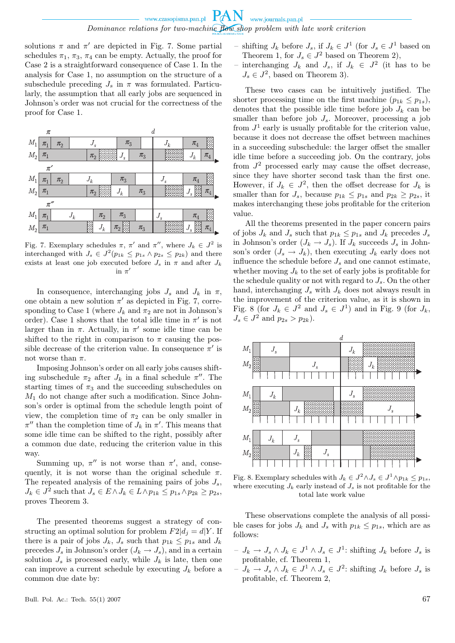solutions  $\pi$  and  $\pi'$  are depicted in Fig. 7. Some partial schedules  $\pi_1$ ,  $\pi_3$ ,  $\pi_4$  can be empty. Actually, the proof for Case 2 is a straightforward consequence of Case 1. In the analysis for Case 1, no assumption on the structure of a subschedule preceding  $J_s$  in  $\pi$  was formulated. Particularly, the assumption that all early jobs are sequenced in Johnson's order was not crucial for the correctness of the proof for Case 1.

|         | $\pi$                         |              |       |           | d                  |                    |  |         |         |           |                              |
|---------|-------------------------------|--------------|-------|-----------|--------------------|--------------------|--|---------|---------|-----------|------------------------------|
| $M_1$   | $\pi_{\scriptscriptstyle{1}}$ | $\pi_{2}$    |       | $J_s$     |                    | $\pi_3$            |  |         | $J_k$   | $\pi_4$   |                              |
| $M_2$   | $\pi_{1}$                     |              |       | $\pi$     |                    | $J_s$              |  | $\pi_3$ |         | $J_k$     | $\pi^{}_4$                   |
|         | $\pi'$                        |              |       |           |                    |                    |  |         |         |           |                              |
| $M_1$   | $\pi_{1}$                     | $\pi^{}_{2}$ |       | $J_k$     |                    | $\pi_3$            |  |         | $J_{s}$ | $\pi_{4}$ |                              |
| $M_2$   | $\pi_1$                       |              |       | $\pi_{2}$ |                    | $J_k$              |  | $\pi_3$ |         |           | $\pi_{4}$                    |
|         | $\pi''$                       |              |       |           |                    |                    |  |         |         |           |                              |
| $M_1$   | $\pi_1$                       |              | $J_k$ |           | $\pi$ <sub>2</sub> | $\pi_3$            |  |         | $J_s$   | $\pi_4$   |                              |
| $\,M_2$ | $\pi_1$                       |              |       |           | ${\cal J}_k$       | $\pi$ <sub>2</sub> |  | $\pi_3$ |         | Š         | $\pi_{\scriptscriptstyle 4}$ |
|         |                               |              |       |           |                    |                    |  |         |         |           |                              |

Fig. 7. Exemplary schedules  $\pi$ ,  $\pi'$  and  $\pi''$ , where  $J_k \in J^2$  is interchanged with  $J_s \in J^2(p_{1k} \leq p_{1s} \land p_{2s} \leq p_{2k})$  and there exists at least one job executed before  $J_s$  in  $\pi$  and after  $J_k$  $\sin \pi'$ 

In consequence, interchanging jobs  $J_s$  and  $J_k$  in  $\pi$ , one obtain a new solution  $\pi'$  as depicted in Fig. 7, corresponding to Case 1 (where  $J_k$  and  $\pi_2$  are not in Johnson's order). Case 1 shows that the total idle time in  $\pi'$  is not larger than in  $\pi$ . Actually, in  $\pi'$  some idle time can be shifted to the right in comparison to  $\pi$  causing the possible decrease of the criterion value. In consequence  $\pi'$  is not worse than  $\pi$ .

Imposing Johnson's order on all early jobs causes shifting subschedule  $\pi_2$  after  $J_k$  in a final schedule  $\pi''$ . The starting times of  $\pi_3$  and the succeeding subschedules on  $M_1$  do not change after such a modification. Since Johnson's order is optimal from the schedule length point of view, the completion time of  $\pi_2$  can be only smaller in  $\pi''$  than the completion time of *J<sub>k</sub>* in  $\pi'$ . This means that some idle time can be shifted to the right, possibly after a common due date, reducing the criterion value in this way.

Summing up,  $\pi''$  is not worse than  $\pi'$ , and, consequently, it is not worse than the original schedule  $\pi$ . The repeated analysis of the remaining pairs of jobs *Js*,  $J_k \in J^2$  such that  $J_s \in E \wedge J_k \in L \wedge p_{1k} \leq p_{1s} \wedge p_{2k} \geq p_{2s}$ , proves Theorem 3.

The presented theorems suggest a strategy of constructing an optimal solution for problem  $F2|d_i = dY$ . If there is a pair of jobs  $J_k$ ,  $J_s$  such that  $p_{1k} \leq p_{1s}$  and  $J_k$ precedes  $J_s$  in Johnson's order  $(J_k \rightarrow J_s)$ , and in a certain solution  $J_s$  is processed early, while  $J_k$  is late, then one can improve a current schedule by executing  $J_k$  before a common due date by:

- − shifting  $J_k$  before  $J_s$ , if  $J_k$  ∈  $J^1$  (for  $J_s$  ∈  $J^1$  based on Theorem 1, for  $J_s \in J^2$  based on Theorem 2),
- − interchanging  $J_k$  and  $J_s$ , if  $J_k$  ∈  $J^2$  (it has to be  $J_s \in J^2$ , based on Theorem 3).

These two cases can be intuitively justified. The shorter processing time on the first machine  $(p_{1k} \leq p_{1s})$ , denotes that the possible idle time before job  $J_k$  can be smaller than before job  $J_s$ . Moreover, processing a job from  $J<sup>1</sup>$  early is usually profitable for the criterion value, because it does not decrease the offset between machines in a succeeding subschedule: the larger offset the smaller idle time before a succeeding job. On the contrary, jobs from  $J^2$  processed early may cause the offset decrease, since they have shorter second task than the first one. However, if  $J_k \in J^2$ , then the offset decrease for  $J_k$  is smaller than for  $J_s$ , because  $p_{1k} \leq p_{1s}$  and  $p_{2k} \geq p_{2s}$ , it makes interchanging these jobs profitable for the criterion value.

All the theorems presented in the paper concern pairs of jobs  $J_k$  and  $J_s$  such that  $p_{1k} \leq p_{1s}$  and  $J_k$  precedes  $J_s$ in Johnson's order  $(J_k \rightarrow J_s)$ . If  $J_k$  succeeds  $J_s$  in Johnson's order  $(J_s \rightarrow J_k)$ , then executing  $J_k$  early does not influence the schedule before  $J_s$  and one cannot estimate, whether moving  $J_k$  to the set of early jobs is profitable for the schedule quality or not with regard to  $J_s$ . On the other hand, interchanging  $J_s$  with  $J_k$  does not always result in the improvement of the criterion value, as it is shown in Fig. 8 (for  $J_k \in J^2$  and  $J_s \in J^1$ ) and in Fig. 9 (for  $J_k$ ,  $J_s \in J^2$  and  $p_{2s} > p_{2k}$ ).



Fig. 8. Exemplary schedules with  $J_k \in J^2 \wedge J_s \in J^1 \wedge p_{1k} \leq p_{1s}$ , where executing  $J_k$  early instead of  $J_s$  is not profitable for the total late work value

These observations complete the analysis of all possible cases for jobs  $J_k$  and  $J_s$  with  $p_{1k} \leq p_{1s}$ , which are as follows:

- $J_k → J_s ∧ J_k ∈ J<sup>1</sup> ∧ J_s ∈ J<sup>1</sup>$ : shifting  $J_k$  before  $J_s$  is profitable, cf. Theorem 1,
- $J_k → J_s ∧ J_k ∈ J<sup>1</sup> ∧ J_s ∈ J<sup>2</sup>: shifting J_k before J_s is$ profitable, cf. Theorem 2,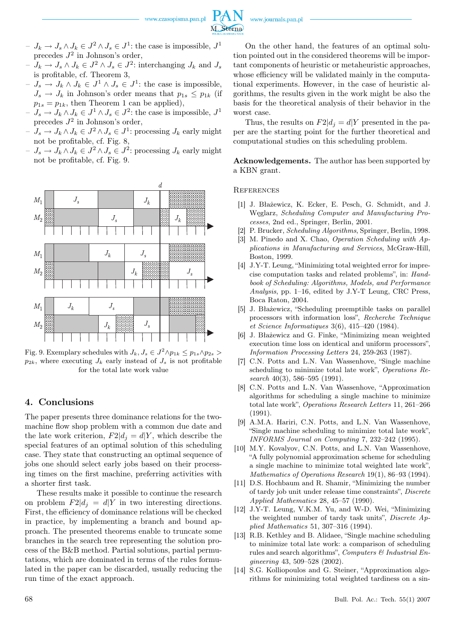www.czasopisma.pan.pl

M. Sterna

www.journals.pan.pl



- $J_k → J_s ∧ J_k ∈ J^2 ∧ J_s ∈ J^2$ : interchanging  $J_k$  and  $J_s$ is profitable, cf. Theorem 3,
- $J_s → J_k ∧ J_k ∈ J<sup>1</sup> ∧ J_s ∈ J<sup>1</sup>$ : the case is impossible,  $J_s \rightarrow J_k$  in Johnson's order means that  $p_{1s} \leq p_{1k}$  (if  $p_{1s} = p_{1k}$ , then Theorem 1 can be applied),
- $J_s → J_k ∧ J_k ∈ J<sup>1</sup> ∧ J_s ∈ J<sup>2</sup>:$  the case is impossible,  $J<sup>1</sup>$ precedes *J* 2 in Johnson's order,
- $J_s → J_k ∧ J_k ∈ J^2 ∧ J_s ∈ J^1$ : processing  $J_k$  early might not be profitable, cf. Fig. 8,
- $J_s → J_k ∧ J_k ∈ J^2 ∧ J_s ∈ J^2$ : processing  $J_k$  early might not be profitable, cf. Fig. 9.



Fig. 9. Exemplary schedules with  $J_k, J_s \in J^2 \wedge p_{1k} \leq p_{1s} \wedge p_{2s}$  $p_{2k}$ , where executing  $J_k$  early instead of  $J_s$  is not profitable for the total late work value

### 4. Conclusions

The paper presents three dominance relations for the twomachine flow shop problem with a common due date and the late work criterion,  $F2|d_i = d|Y$ , which describe the special features of an optimal solution of this scheduling case. They state that constructing an optimal sequence of jobs one should select early jobs based on their processing times on the first machine, preferring activities with a shorter first task.

These results make it possible to continue the research on problem  $F2|d_i = d|Y$  in two interesting directions. First, the efficiency of dominance relations will be checked in practice, by implementing a branch and bound approach. The presented theorems enable to truncate some branches in the search tree representing the solution process of the B&B method. Partial solutions, partial permutations, which are dominated in terms of the rules formulated in the paper can be discarded, usually reducing the run time of the exact approach.

On the other hand, the features of an optimal solution pointed out in the considered theorems will be important components of heuristic or metaheuristic approaches, whose efficiency will be validated mainly in the computational experiments. However, in the case of heuristic algorithms, the results given in the work might be also the basis for the theoretical analysis of their behavior in the worst case.

Thus, the results on  $F2|d_i = d$ *Y* presented in the paper are the starting point for the further theoretical and computational studies on this scheduling problem.

Acknowledgements. The author has been supported by a KBN grant.

## **REFERENCES**

- [1] J. Błażewicz, K. Ecker, E. Pesch, G. Schmidt, and J. Węglarz, *Scheduling Computer and Manufacturing Processes*, 2nd ed., Springer, Berlin, 2001.
- [2] P. Brucker, *Scheduling Algorithms*, Springer, Berlin, 1998.
- [3] M. Pinedo and X. Chao, *Operation Scheduling with Applications in Manufacturing and Services*, McGraw-Hill, Boston, 1999.
- [4] J.Y-T. Leung, "Minimizing total weighted error for imprecise computation tasks and related problems", in: *Handbook of Scheduling: Algorithms, Models, and Performance Analysis*, pp. 1–16, edited by J.Y-T Leung, CRC Press, Boca Raton, 2004.
- [5] J. Błażewicz, "Scheduling preemptible tasks on parallel processors with information loss", *Recherche Technique et Science Informatiques* 3(6), 415–420 (1984).
- [6] J. Błażewicz and G. Finke, "Minimizing mean weighted execution time loss on identical and uniform processors", *Information Processing Letters* 24, 259-263 (1987).
- [7] C.N. Potts and L.N. Van Wassenhove, "Single machine scheduling to minimize total late work", *Operations Research* 40(3), 586–595 (1991).
- [8] C.N. Potts and L.N. Van Wassenhove, "Approximation algorithms for scheduling a single machine to minimize total late work", *Operations Research Letters* 11, 261–266 (1991).
- [9] A.M.A. Hariri, C.N. Potts, and L.N. Van Wassenhove, "Single machine scheduling to minimize total late work", *INFORMS Journal on Computing* 7, 232–242 (1995).
- [10] M.Y. Kovalyov, C.N. Potts, and L.N. Van Wassenhove, "A fully polynomial approximation scheme for scheduling a single machine to minimize total weighted late work", *Mathematics of Operations Research* 19(1), 86–93 (1994).
- [11] D.S. Hochbaum and R. Shamir, "Minimizing the number of tardy job unit under release time constraints", *Discrete Applied Mathematics* 28, 45–57 (1990).
- [12] J.Y-T. Leung, V.K.M. Yu, and W-D. Wei, "Minimizing the weighted number of tardy task units", *Discrete Applied Mathematics* 51, 307–316 (1994).
- [13] R.B. Kethley and B. Alidaee, "Single machine scheduling to minimize total late work: a comparison of scheduling rules and search algorithms", *Computers & Industrial Engineering* 43, 509–528 (2002).
- [14] S.G. Kolliopoulos and G. Steiner, "Approximation algorithms for minimizing total weighted tardiness on a sin-